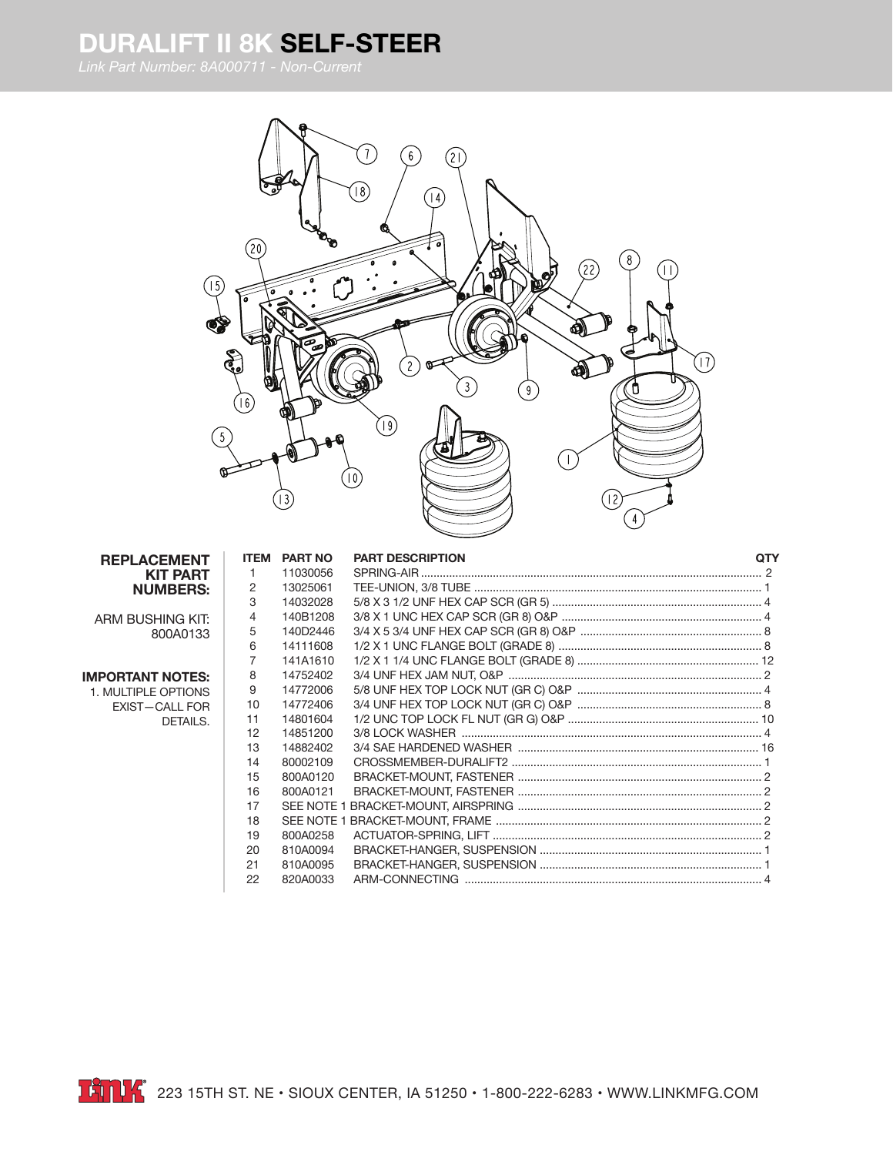## **DURALIFT II 8K SELF-STEER**

*Link Part Number: 8A000711 - Non-Current*